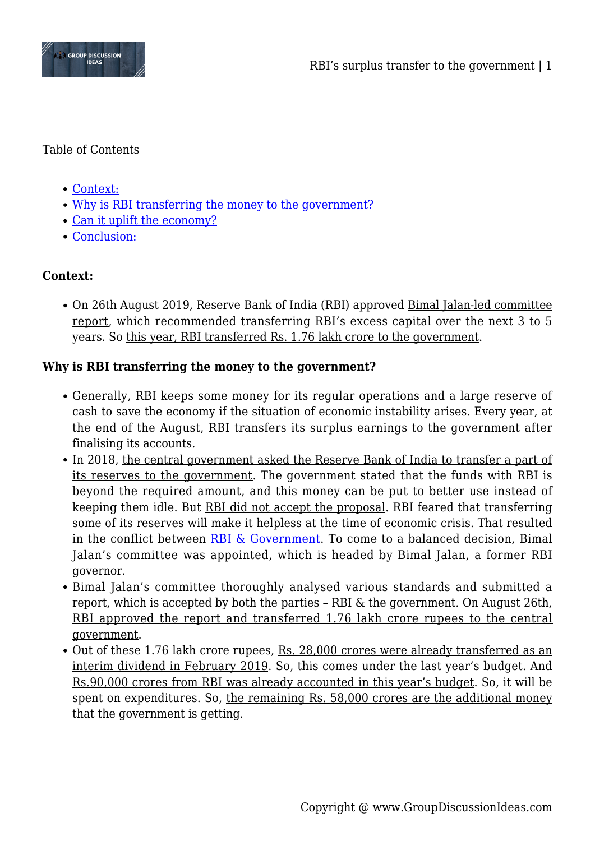

## Table of Contents

- [Context:](#page--1-0)
- [Why is RBI transferring the money to the government?](#page--1-0)
- [Can it uplift the economy?](#page--1-0)
- [Conclusion:](#page--1-0)

# **Context:**

On 26th August 2019, Reserve Bank of India (RBI) approved Bimal Jalan-led committee report, which recommended transferring RBI's excess capital over the next 3 to 5 years. So this year, RBI transferred Rs. 1.76 lakh crore to the government.

# **Why is RBI transferring the money to the government?**

- Generally, RBI keeps some money for its regular operations and a large reserve of cash to save the economy if the situation of economic instability arises. Every year, at the end of the August, RBI transfers its surplus earnings to the government after finalising its accounts.
- In 2018, the central government asked the Reserve Bank of India to transfer a part of its reserves to the government. The government stated that the funds with RBI is beyond the required amount, and this money can be put to better use instead of keeping them idle. But RBI did not accept the proposal. RBI feared that transferring some of its reserves will make it helpless at the time of economic crisis. That resulted in the conflict between [RBI & Government.](https://www.groupdiscussionideas.com/rbi-vs-govt/) To come to a balanced decision, Bimal Jalan's committee was appointed, which is headed by Bimal Jalan, a former RBI governor.
- Bimal Jalan's committee thoroughly analysed various standards and submitted a report, which is accepted by both the parties – RBI & the government. On August 26th, RBI approved the report and transferred 1.76 lakh crore rupees to the central government.
- Out of these 1.76 lakh crore rupees, Rs. 28,000 crores were already transferred as an interim dividend in February 2019. So, this comes under the last year's budget. And Rs.90,000 crores from RBI was already accounted in this year's budget. So, it will be spent on expenditures. So, the remaining Rs. 58,000 crores are the additional money that the government is getting.